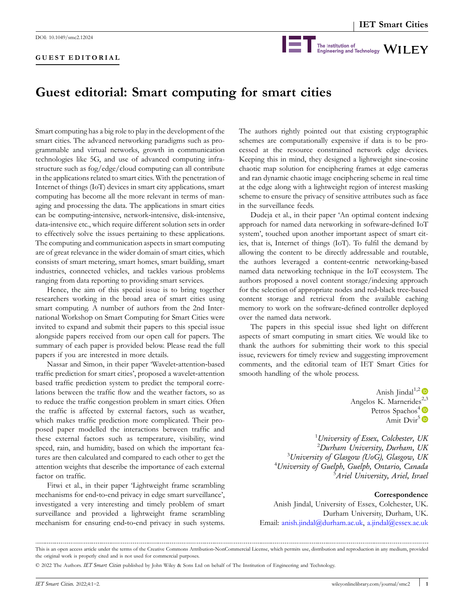## **GUEST EDITORIAL**



## **Guest editorial: Smart computing for smart cities**

Smart computing has a big role to play in the development of the smart cities. The advanced networking paradigms such as programmable and virtual networks, growth in communication technologies like 5G, and use of advanced computing infrastructure such as fog/edge/cloud computing can all contribute in the applications related to smart cities. With the penetration of Internet of things (IoT) devices in smart city applications, smart computing has become all the more relevant in terms of managing and processing the data. The applications in smart cities can be computing‐intensive, network‐intensive, disk‐intensive, data‐intensive etc., which require different solution sets in order to effectively solve the issues pertaining to these applications. The computing and communication aspects in smart computing are of great relevance in the wider domain of smart cities, which consists of smart metering, smart homes, smart building, smart industries, connected vehicles, and tackles various problems ranging from data reporting to providing smart services.

Hence, the aim of this special issue is to bring together researchers working in the broad area of smart cities using smart computing. A number of authors from the 2nd International Workshop on Smart Computing for Smart Cities were invited to expand and submit their papers to this special issue alongside papers received from our open call for papers. The summary of each paper is provided below. Please read the full papers if you are interested in more details.

Nassar and Simon, in their paper 'Wavelet‐attention‐based traffic prediction for smart cities', proposed a wavelet‐attention based traffic prediction system to predict the temporal correlations between the traffic flow and the weather factors, so as to reduce the traffic congestion problem in smart cities. Often the traffic is affected by external factors, such as weather, which makes traffic prediction more complicated. Their proposed paper modelled the interactions between traffic and these external factors such as temperature, visibility, wind speed, rain, and humidity, based on which the important features are then calculated and compared to each other to get the attention weights that describe the importance of each external factor on traffic.

Fitwi et al., in their paper 'Lightweight frame scrambling mechanisms for end-to-end privacy in edge smart surveillance', investigated a very interesting and timely problem of smart surveillance and provided a lightweight frame scrambling mechanism for ensuring end‐to‐end privacy in such systems.

The authors rightly pointed out that existing cryptographic schemes are computationally expensive if data is to be processed at the resource constrained network edge devices. Keeping this in mind, they designed a lightweight sine‐cosine chaotic map solution for enciphering frames at edge cameras and ran dynamic chaotic image enciphering scheme in real time at the edge along with a lightweight region of interest masking scheme to ensure the privacy of sensitive attributes such as face in the surveillance feeds.

Dudeja et al., in their paper 'An optimal content indexing approach for named data networking in software‐defined IoT system', touched upon another important aspect of smart cities, that is, Internet of things (IoT). To fulfil the demand by allowing the content to be directly addressable and routable, the authors leveraged a content-centric networking-based named data networking technique in the IoT ecosystem. The authors proposed a novel content storage/indexing approach for the selection of appropriate nodes and red‐black tree‐based content storage and retrieval from the available caching memory to work on the software‐defined controller deployed over the named data network.

The papers in this special issue shed light on different aspects of smart computing in smart cities. We would like to thank the authors for submitting their work to this special issue, reviewers for timely review and suggesting improvement comments, and the editorial team of IET Smart Cities for smooth handling of the whole process.

> Anish Jindal<sup>1,2</sup> Angelos K. Marnerides $^{2,3}$  $^{2,3}$  $^{2,3}$ Petros Spachos<sup>4</sup> Amit Dvir<sup>5</sup> $\bullet$

 *University of Essex, Colchester, UK Durham University, Durham, UK University of Glasgow (UoG), Glasgow, UK University of Guelph, Guelph, Ontario, Canada Ariel University, Ariel, Israel*

## **Correspondence**

Anish Jindal, University of Essex, Colchester, UK. Durham University, Durham, UK. Email: [anish.jindal@durham.ac.uk,](mailto:anish.jindal@durham.ac.uk) [a.jindal@essex.ac.uk](mailto:a.jindal@essex.ac.uk)

This is an open access article under the terms of the Creative Commons Attribution‐NonCommercial License, which permits use, distribution and reproduction in any medium, provided the original work is properly cited and is not used for commercial purposes.

<sup>©</sup> 2022 The Authors. *IET Smart Cities* published by John Wiley & Sons Ltd on behalf of The Institution of Engineering and Technology.